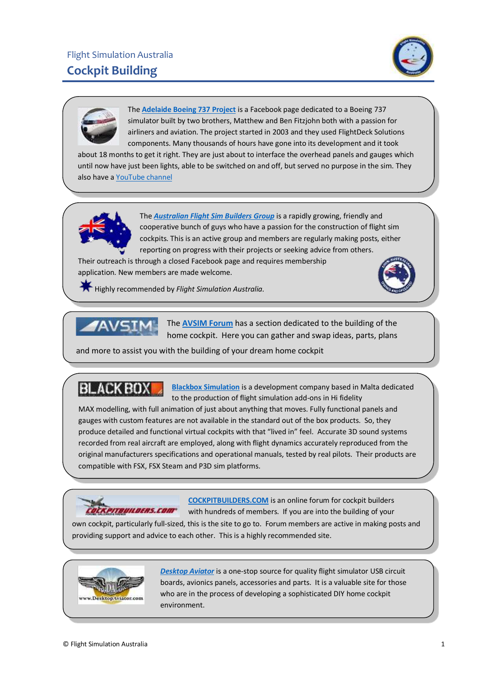



The **[Adelaide Boeing 737 Project](https://www.facebook.com/AdelaideBoeing737Project/)** is a Facebook page dedicated to a Boeing 737 simulator built by two brothers, Matthew and Ben Fitzjohn both with a passion for airliners and aviation. The project started in 2003 and they used FlightDeck Solutions components. Many thousands of hours have gone into its development and it took

about 18 months to get it right. They are just about to interface the overhead panels and gauges which until now have just been lights, able to be switched on and off, but served no purpose in the sim. They also have [a YouTube channel](https://www.youtube.com/channel/UC-Q_YJKB-peTTI10FLJAUXw/videos)



The *[Australian Flight Sim Builders Group](https://tinyurl.com/Aus-cockpit-builders)* is a rapidly growing, friendly and cooperative bunch of guys who have a passion for the construction of flight sim cockpits. This is an active group and members are regularly making posts, either reporting on progress with their projects or seeking advice from others.

Their outreach is through a closed Facebook page and requires membership application. New members are made welcome.



Highly recommended by *Flight Simulation Australia.* 



home cockpit. Here you can gather and swap ideas, parts, plans

and more to assist you with the building of your dream home cockpit

**[Blackbox Simulation](http://www.blackboxsimulation.com/)** is a development company based in Malta dedicated to the production of flight simulation add-ons in Hi fidelity

MAX modelling, with full animation of just about anything that moves. Fully functional panels and gauges with custom features are not available in the standard out of the box products. So, they produce detailed and functional virtual cockpits with that "lived in" feel. Accurate 3D sound systems recorded from real aircraft are employed, along with flight dynamics accurately reproduced from the original manufacturers specifications and operational manuals, tested by real pilots. Their products are compatible with FSX, FSX Steam and P3D sim platforms.



**BLACKBOX** 

**[COCKPITBUILDERS.COM](http://www.cockpitbuilders.com/)** is an online forum for cockpit builders with hundreds of members. If you are into the building of your

own cockpit, particularly full-sized, this is the site to go to. Forum members are active in making posts and providing support and advice to each other. This is a highly recommended site.



*[Desktop Aviator](http://www.desktopaviator.com/)* is a one-stop source for quality flight simulator USB circuit boards, avionics panels, accessories and parts. It is a valuable site for those who are in the process of developing a sophisticated DIY home cockpit environment.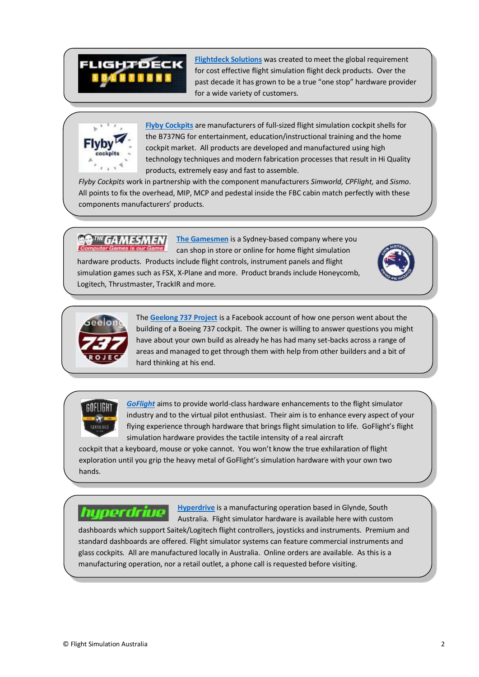## **FLIGHTDECK**

**[Flightdeck Solutions](http://www.flightdecksolutions.com/)** was created to meet the global requirement for cost effective flight simulation flight deck products. Over the past decade it has grown to be a true "one stop" hardware provider for a wide variety of customers.



**[Flyby Cockpits](https://www.flybycockpits.com/)** are manufacturers of full-sized flight simulation cockpit shells for the B737NG for entertainment, education/instructional training and the home cockpit market. All products are developed and manufactured using high technology techniques and modern fabrication processes that result in Hi Quality products, extremely easy and fast to assemble.

*Flyby Cockpits* work in partnership with the component manufacturers *Simworld, CPFlight,* and *Sismo*. All points to fix the overhead, MIP, MCP and pedestal inside the FBC cabin match perfectly with these components manufacturers' products.

**[The Gamesmen](https://www.gamesmen.com.au/flight-simulation)** is a Sydney-based company where you outer Games is our Game can shop in store or online for home flight simulation hardware products. Products include flight controls, instrument panels and flight simulation games such as FSX, X-Plane and more. Product brands include Honeycomb, Logitech, Thrustmaster, TrackIR and more.





The **[Geelong 737 Project](https://www.facebook.com/pg/Geelong737Project/about/?ref=page_internal)** is a Facebook account of how one person went about the building of a Boeing 737 cockpit. The owner is willing to answer questions you might have about your own build as already he has had many set-backs across a range of areas and managed to get through them with help from other builders and a bit of hard thinking at his end.



*[GoFlight](http://www.goflight.com/)* aims to provide world-class hardware enhancements to the flight simulator industry and to the virtual pilot enthusiast. Their aim is to enhance every aspect of your flying experience through hardware that brings flight simulation to life. GoFlight's flight simulation hardware provides the tactile intensity of a real aircraft

cockpit that a keyboard, mouse or yoke cannot. You won't know the true exhilaration of flight exploration until you grip the heavy metal of GoFlight's simulation hardware with your own two hands.

hyperdrive

**[Hyperdrive](https://hyperdrive.com.au/)** is a manufacturing operation based in Glynde, South Australia. Flight simulator hardware is available here with custom

dashboards which support Saitek/Logitech flight controllers, joysticks and instruments. Premium and standard dashboards are offered. Flight simulator systems can feature commercial instruments and glass cockpits. All are manufactured locally in Australia. Online orders are available. As this is a manufacturing operation, nor a retail outlet, a phone call is requested before visiting.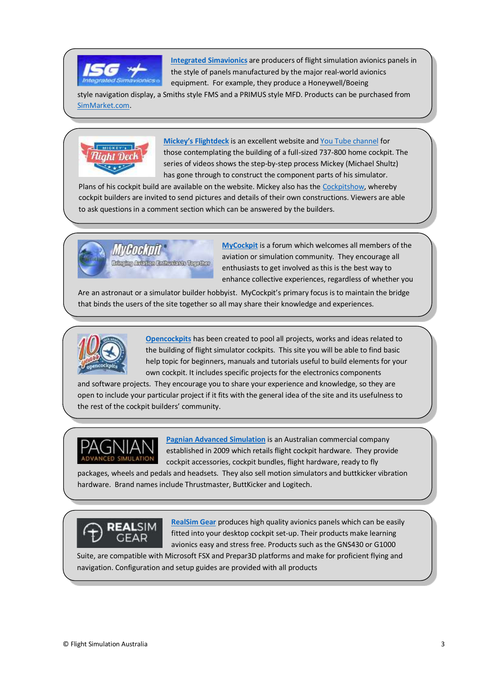

**[Integrated Simavionics](http://www.isgsim.com/)** are producers of flight simulation avionics panels in the style of panels manufactured by the major real-world avionics equipment. For example, they produce a Honeywell/Boeing

style navigation display, a Smiths style FMS and a PRIMUS style MFD. Products can be purchased from [SimMarket.com.](https://secure.simmarket.com/)



**[Mickey's Flightdeck](https://mickeys-flightdeck.de/)** is an excellent website and [You Tube channel](https://www.youtube.com/channel/UCY6LAcEsfqeslCMi6isG6qA) for those contemplating the building of a full-sized 737-800 home cockpit. The series of videos shows the step-by-step process Mickey (Michael Shultz) has gone through to construct the component parts of his simulator.

Plans of his cockpit build are available on the website. Mickey also has the [Cockpitshow,](https://mickeys-flightdeck.de/cockpitshow/) whereby cockpit builders are invited to send pictures and details of their own constructions. Viewers are able to ask questions in a comment section which can be answered by the builders.



**[MyCockpit](http://www.mycockpit.org/forums/content.php)** is a forum which welcomes all members of the aviation or simulation community. They encourage all enthusiasts to get involved as this is the best way to enhance collective experiences, regardless of whether you

Are an astronaut or a simulator builder hobbyist. MyCockpit's primary focus is to maintain the bridge that binds the users of the site together so all may share their knowledge and experiences.



**[Opencockpits](http://www.opencockpits.com/)** has been created to pool all projects, works and ideas related to the building of flight simulator cockpits. This site you will be able to find basic help topic for beginners, manuals and tutorials useful to build elements for your own cockpit. It includes specific projects for the electronics components

and software projects. They encourage you to share your experience and knowledge, so they are open to include your particular project if it fits with the general idea of the site and its usefulness to the rest of the cockpit builders' community.



**[Pagnian Advanced Simulation](https://www.pagnianimports.com.au/flight-simulation/flight-cockpits.html)** is an Australian commercial company established in 2009 which retails flight cockpit hardware. They provide cockpit accessories, cockpit bundles, flight hardware, ready to fly

packages, wheels and pedals and headsets. They also sell motion simulators and buttkicker vibration hardware. Brand names include Thrustmaster, ButtKicker and Logitech.



**[RealSim](https://realsimgear.com/) Gear** produces high quality avionics panels which can be easily fitted into your desktop cockpit set-up. Their products make learning avionics easy and stress free. Products such as the GNS430 or G1000

Suite, are compatible with Microsoft FSX and Prepar3D platforms and make for proficient flying and navigation. Configuration and setup guides are provided with all products